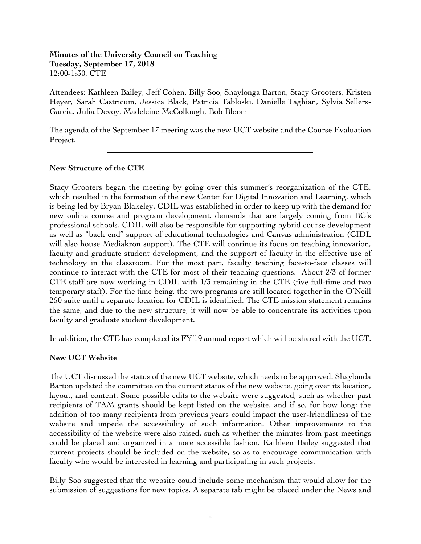### **Minutes of the University Council on Teaching Tuesday, September 17, 2018** 12:00-1:30, CTE

Attendees: Kathleen Bailey, Jeff Cohen, Billy Soo, Shaylonga Barton, Stacy Grooters, Kristen Heyer, Sarah Castricum, Jessica Black, Patricia Tabloski, Danielle Taghian, Sylvia Sellers-Garcia, Julia Devoy, Madeleine McCollough, Bob Bloom

The agenda of the September 17 meeting was the new UCT website and the Course Evaluation Project.

## **New Structure of the CTE**

 $\overline{a}$ 

Stacy Grooters began the meeting by going over this summer's reorganization of the CTE, which resulted in the formation of the new Center for Digital Innovation and Learning, which is being led by Bryan Blakeley. CDIL was established in order to keep up with the demand for new online course and program development, demands that are largely coming from BC's professional schools. CDIL will also be responsible for supporting hybrid course development as well as "back end" support of educational technologies and Canvas administration (CIDL will also house Mediakron support). The CTE will continue its focus on teaching innovation, faculty and graduate student development, and the support of faculty in the effective use of technology in the classroom. For the most part, faculty teaching face-to-face classes will continue to interact with the CTE for most of their teaching questions. About 2/3 of former CTE staff are now working in CDIL with 1/3 remaining in the CTE (five full-time and two temporary staff). For the time being, the two programs are still located together in the O'Neill 250 suite until a separate location for CDIL is identified. The CTE mission statement remains the same, and due to the new structure, it will now be able to concentrate its activities upon faculty and graduate student development.

In addition, the CTE has completed its FY'19 annual report which will be shared with the UCT.

### **New UCT Website**

The UCT discussed the status of the new UCT website, which needs to be approved. Shaylonda Barton updated the committee on the current status of the new website, going over its location, layout, and content. Some possible edits to the website were suggested, such as whether past recipients of TAM grants should be kept listed on the website, and if so, for how long: the addition of too many recipients from previous years could impact the user-friendliness of the website and impede the accessibility of such information. Other improvements to the accessibility of the website were also raised, such as whether the minutes from past meetings could be placed and organized in a more accessible fashion. Kathleen Bailey suggested that current projects should be included on the website, so as to encourage communication with faculty who would be interested in learning and participating in such projects.

Billy Soo suggested that the website could include some mechanism that would allow for the submission of suggestions for new topics. A separate tab might be placed under the News and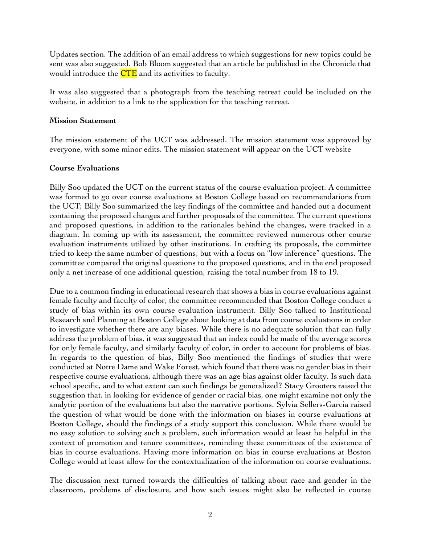Updates section. The addition of an email address to which suggestions for new topics could be sent was also suggested. Bob Bloom suggested that an article be published in the Chronicle that would introduce the **CTE** and its activities to faculty.

It was also suggested that a photograph from the teaching retreat could be included on the website, in addition to a link to the application for the teaching retreat.

### **Mission Statement**

The mission statement of the UCT was addressed. The mission statement was approved by everyone, with some minor edits. The mission statement will appear on the UCT website

### **Course Evaluations**

Billy Soo updated the UCT on the current status of the course evaluation project. A committee was formed to go over course evaluations at Boston College based on recommendations from the UCT; Billy Soo summarized the key findings of the committee and handed out a document containing the proposed changes and further proposals of the committee. The current questions and proposed questions, in addition to the rationales behind the changes, were tracked in a diagram. In coming up with its assessment, the committee reviewed numerous other course evaluation instruments utilized by other institutions. In crafting its proposals, the committee tried to keep the same number of questions, but with a focus on "low inference" questions. The committee compared the original questions to the proposed questions, and in the end proposed only a net increase of one additional question, raising the total number from 18 to 19.

Due to a common finding in educational research that shows a bias in course evaluations against female faculty and faculty of color, the committee recommended that Boston College conduct a study of bias within its own course evaluation instrument. Billy Soo talked to Institutional Research and Planning at Boston College about looking at data from course evaluations in order to investigate whether there are any biases. While there is no adequate solution that can fully address the problem of bias, it was suggested that an index could be made of the average scores for only female faculty, and similarly faculty of color, in order to account for problems of bias. In regards to the question of bias, Billy Soo mentioned the findings of studies that were conducted at Notre Dame and Wake Forest, which found that there was no gender bias in their respective course evaluations, although there was an age bias against older faculty. Is such data school specific, and to what extent can such findings be generalized? Stacy Grooters raised the suggestion that, in looking for evidence of gender or racial bias, one might examine not only the analytic portion of the evaluations but also the narrative portions. Sylvia Sellers-Garcia raised the question of what would be done with the information on biases in course evaluations at Boston College, should the findings of a study support this conclusion. While there would be no easy solution to solving such a problem, such information would at least be helpful in the context of promotion and tenure committees, reminding these committees of the existence of bias in course evaluations. Having more information on bias in course evaluations at Boston College would at least allow for the contextualization of the information on course evaluations.

The discussion next turned towards the difficulties of talking about race and gender in the classroom, problems of disclosure, and how such issues might also be reflected in course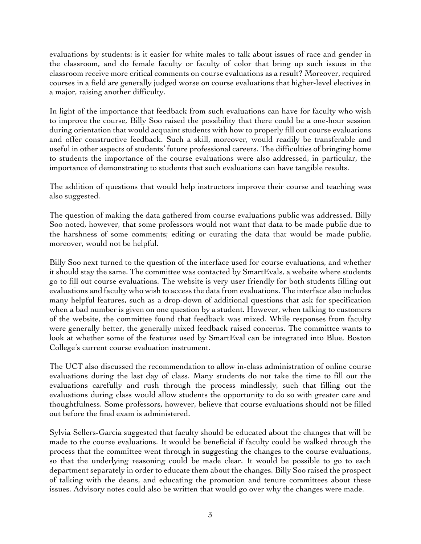evaluations by students: is it easier for white males to talk about issues of race and gender in the classroom, and do female faculty or faculty of color that bring up such issues in the classroom receive more critical comments on course evaluations as a result? Moreover, required courses in a field are generally judged worse on course evaluations that higher-level electives in a major, raising another difficulty.

In light of the importance that feedback from such evaluations can have for faculty who wish to improve the course, Billy Soo raised the possibility that there could be a one-hour session during orientation that would acquaint students with how to properly fill out course evaluations and offer constructive feedback. Such a skill, moreover, would readily be transferable and useful in other aspects of students' future professional careers. The difficulties of bringing home to students the importance of the course evaluations were also addressed, in particular, the importance of demonstrating to students that such evaluations can have tangible results.

The addition of questions that would help instructors improve their course and teaching was also suggested.

The question of making the data gathered from course evaluations public was addressed. Billy Soo noted, however, that some professors would not want that data to be made public due to the harshness of some comments; editing or curating the data that would be made public, moreover, would not be helpful.

Billy Soo next turned to the question of the interface used for course evaluations, and whether it should stay the same. The committee was contacted by SmartEvals, a website where students go to fill out course evaluations. The website is very user friendly for both students filling out evaluations and faculty who wish to access the data from evaluations. The interface also includes many helpful features, such as a drop-down of additional questions that ask for specification when a bad number is given on one question by a student. However, when talking to customers of the website, the committee found that feedback was mixed. While responses from faculty were generally better, the generally mixed feedback raised concerns. The committee wants to look at whether some of the features used by SmartEval can be integrated into Blue, Boston College's current course evaluation instrument.

The UCT also discussed the recommendation to allow in-class administration of online course evaluations during the last day of class. Many students do not take the time to fill out the evaluations carefully and rush through the process mindlessly, such that filling out the evaluations during class would allow students the opportunity to do so with greater care and thoughtfulness. Some professors, however, believe that course evaluations should not be filled out before the final exam is administered.

Sylvia Sellers-Garcia suggested that faculty should be educated about the changes that will be made to the course evaluations. It would be beneficial if faculty could be walked through the process that the committee went through in suggesting the changes to the course evaluations, so that the underlying reasoning could be made clear. It would be possible to go to each department separately in order to educate them about the changes. Billy Soo raised the prospect of talking with the deans, and educating the promotion and tenure committees about these issues. Advisory notes could also be written that would go over why the changes were made.